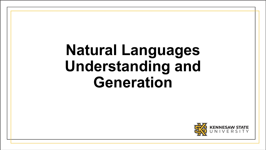## **Natural Languages Understanding and Generation**

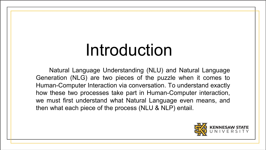# Introduction

Natural Language Understanding (NLU) and Natural Language Generation (NLG) are two pieces of the puzzle when it comes to Human-Computer Interaction via conversation. To understand exactly how these two processes take part in Human-Computer interaction, we must first understand what Natural Language even means, and then what each piece of the process (NLU & NLP) entail.

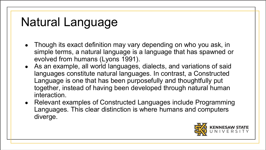### Natural Language

- Though its exact definition may vary depending on who you ask, in simple terms, a natural language is a language that has spawned or evolved from humans (Lyons 1991).
- As an example, all world languages, dialects, and variations of said languages constitute natural languages. In contrast, a Constructed Language is one that has been purposefully and thoughtfully put together, instead of having been developed through natural human interaction.
- Relevant examples of Constructed Languages include Programming Languages. This clear distinction is where humans and computers diverge.

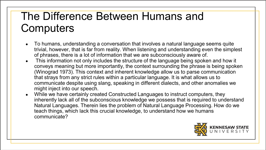#### The Difference Between Humans and **Computers**

- To humans, understanding a conversation that involves a natural language seems quite trivial, however, that is far from reality. When listening and understanding even the simplest of phrases, there is a lot of information that we are subconsciously aware of.
- This information not only includes the structure of the language being spoken and how it conveys meaning but more importantly, the context surrounding the phrase is being spoken (Winograd 1973). This context and inherent knowledge allow us to parse communication that strays from any strict rules within a particular language. It is what allows us to communicate despite using slang, speaking in different dialects, and other anomalies we might inject into our speech.
- While we have certainly created Constructed Languages to instruct computers, they inherently lack all of the subconscious knowledge we possess that is required to understand Natural Languages. Therein lies the problem of Natural Language Processing. How do we teach things, which lack this crucial knowledge, to understand how we humans communicate?

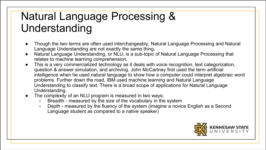#### Natural Language Processing & Understanding

- Though the two terms are often used interchangeably, Natural Language Processing and Natural Language Understanding are not exactly the same thing.
- Natural Language Understanding, or NLU, is a sub-topic of Natural Language Processing that relates to machine learning comprehension.
- This is a very commercialized technology as it deals with voice recognition, text categorization, question & answer simulation, and archiving. John McCartney first used the term artificial intelligence when he used natural language to show how a computer could interpret algebraic word problems. Further down the road, IBM used machine learning and Natural Language Understanding to classify text. There is a broad scope of applications for Natural Language Understanding.
- The complexity of an NLU program is measured in two ways:
	- Breadth measured by the size of the vocabulary in the system
	- Depth measured by the fluency of the system (imagine a novice English as a Second Language student as compared to a native speaker)

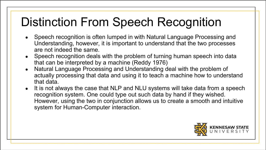## Distinction From Speech Recognition

- Speech recognition is often lumped in with Natural Language Processing and Understanding, however, it is important to understand that the two processes are not indeed the same.
- Speech recognition deals with the problem of turning human speech into data that can be interpreted by a machine (Reddy 1976)
- Natural Language Processing and Understanding deal with the problem of actually processing that data and using it to teach a machine how to understand that data.
- It is not always the case that NLP and NLU systems will take data from a speech recognition system. One could type out such data by hand if they wished. However, using the two in conjunction allows us to create a smooth and intuitive system for Human-Computer interaction.

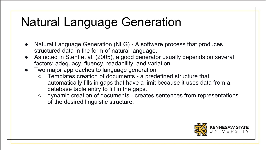### Natural Language Generation

- Natural Language Generation (NLG) A software process that produces structured data in the form of natural language.
- As noted in Stent et al. (2005), a good generator usually depends on several factors: adequacy, fluency, readability, and variation.
- Two major approaches to language generation
	- Templates creation of documents a predefined structure that automatically fills in gaps that have a limit because it uses data from a database table entry to fill in the gaps.
	- dynamic creation of documents creates sentences from representations of the desired linguistic structure.

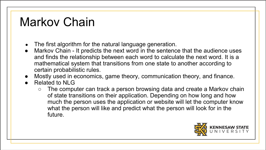### Markov Chain

- The first algorithm for the natural language generation.
- Markov Chain It predicts the next word in the sentence that the audience uses and finds the relationship between each word to calculate the next word. It is a mathematical system that transitions from one state to another according to certain probabilistic rules.
- Mostly used in economics, game theory, communication theory, and finance.
- Related to NLG
	- The computer can track a person browsing data and create a Markov chain of state transitions on their application. Depending on how long and how much the person uses the application or website will let the computer know what the person will like and predict what the person will look for in the future.

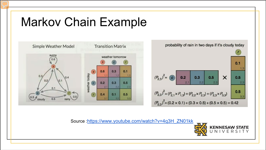### Markov Chain Example





Source :[https://www.youtube.com/watch?v=4q3H\\_ZN01kk](https://www.youtube.com/watch?v=4q3H_ZN01kk)

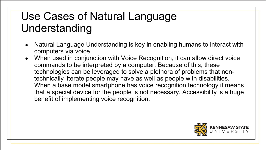- Natural Language Understanding is key in enabling humans to interact with computers via voice.
- When used in conjunction with Voice Recognition, it can allow direct voice commands to be interpreted by a computer. Because of this, these technologies can be leveraged to solve a plethora of problems that nontechnically literate people may have as well as people with disabilities. When a base model smartphone has voice recognition technology it means that a special device for the people is not necessary. Accessibility is a huge benefit of implementing voice recognition.

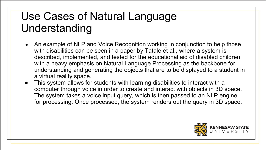- An example of NLP and Voice Recognition working in conjunction to help those with disabilities can be seen in a paper by Tatale et al., where a system is described, implemented, and tested for the educational aid of disabled children, with a heavy emphasis on Natural Language Processing as the backbone for understanding and generating the objects that are to be displayed to a student in a virtual reality space.
- This system allows for students with learning disabilities to interact with a computer through voice in order to create and interact with objects in 3D space. The system takes a voice input query, which is then passed to an NLP engine for processing. Once processed, the system renders out the query in 3D space.

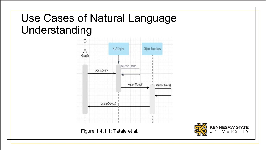

Figure 1.4.1.1; Tatale et al.

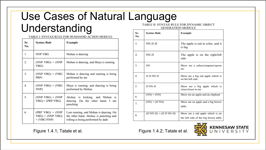#### Use Cases of Natural Language Understanding **PAINTER OVAIRA VINTER PARTIERATIONS A CERAM MARKET P**

| Sr.<br>No. | <b>Syntax Rule</b>                                        | <b>Example</b>                                                                                                         |
|------------|-----------------------------------------------------------|------------------------------------------------------------------------------------------------------------------------|
| 1.         | <b>NNP VBG</b>                                            | Mohan is dancing                                                                                                       |
| 2.         | $(NNP VBG) + (NNP)$<br>VBG)                               | Mohan is dancing, and Maya is running                                                                                  |
| 3.         | $(NNP VBG) + (VBG)$<br>PRP)                               | Mohan is dancing and running is being<br>performed by me                                                               |
| 4.         | $(NNP VBG) + (VBG)$<br>NNP)                               | Maya is running, and dancing is being<br>performed by Mohan                                                            |
| 5.         | $(NNP VBG) + (NNP)$<br>$VBG$ + (PRP VBG)                  | Akshay is kicking, and Mohan is<br>dancing. On the other hand, I am<br>punching                                        |
| 6.         | $(PRP VBG) + (NNP)$<br>$VBG$ + (NNP VBG)<br>$+$ (VBG NNP) | I am running, and Mohan is dancing. On<br>the other hand, Akshay is punching and<br>rolling is being performed by dadi |

Figure 1.4.1; Tatale et al. Figure 1.4.2; Tatale et al.

**GENERATION MODULE** 

| Sr.<br>No.     | <b>Syntax Rule</b>           | <b>Example</b>                                                          |
|----------------|------------------------------|-------------------------------------------------------------------------|
| 1.             | NN JJ JJ                     | The apple is red in color, and it<br>is big                             |
| 2.             | NN JJ                        | The apple is on the right/left<br>side                                  |
| 3.             | <b>NN</b>                    | Show me a zebra/computer/spoon<br>etc.                                  |
| $\overline{4}$ | <b>JJ JJ NN JJ</b>           | Show me a big red apple which is<br>on the left side                    |
| 5.             | <b>JJ NN JJ</b>              | Show me a big apple which is<br>close/closer to me                      |
| 6.             | $(NN) + (NN)$                | Show me an apple and an elephant                                        |
| 7.             | $(NN)$ + (JJ NN)             | Show me an apple and a big brown<br>table                               |
| 8.             | $(JJ NN JJ) + (JJ JJ NN JJ)$ | Show me a red apple which is on<br>the left side of the big brown table |

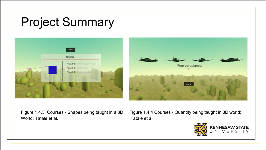### Project Summary





World; Tatale et al. Tatale et al.

Figure 1.4.3 Courses - Shapes being taught in a 3D Figure 1.4.4 Courses - Quantity being taught in 3D world;

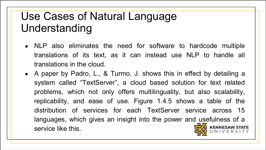- NLP also eliminates the need for software to hardcode multiple translations of its text, as it can instead use NLP to handle all translations in the cloud.
- A paper by Padro, L., & Turmo, J. shows this in effect by detailing a system called "TextServer", a cloud based solution for text related problems, which not only offers multilinguality, but also scalability, replicability, and ease of use. Figure 1.4.5 shows a table of the distribution of services for each TextServer service across 15 languages, which gives an insight into the power and usefulness of a service like this.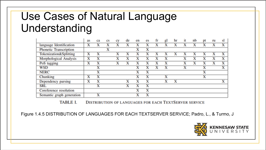|                           | as | ca | cs | CV | de | en | es | fr | gl | hr | it | nb | рt | ru | sl |
|---------------------------|----|----|----|----|----|----|----|----|----|----|----|----|----|----|----|
| language Identification   | х  | х  | х  | x  | x  | х  | x  |    | x  | x  | x  | X  | x  |    | x  |
| Phonetic Transcription    |    |    | x  |    |    | x  | x  |    |    |    |    |    |    |    |    |
| Tokenization&Splitting    | х  | х  |    |    |    |    |    |    |    |    |    |    |    |    |    |
| Morphological Analysis    | x  | x  |    | X  | X  |    |    |    | x  |    | х  |    | x  |    | x  |
| PoS tagging               | x  | x  |    | х  | x  | x  | x  |    | x  |    | x  | x  | x  |    | x  |
| <b>WSD</b>                |    | х  |    |    |    |    |    |    |    |    |    |    | x  |    |    |
| <b>NERC</b>               |    | x  |    |    |    |    | x  |    |    |    |    |    | x  |    |    |
| Chunking                  | x  | x  |    |    |    |    | х  |    | x  |    |    |    | x  |    |    |
| Dependency parsing        | х  | х  |    |    | x  |    | x  |    | x  | x  |    |    |    |    |    |
| <b>SRL</b>                |    | x  |    |    |    |    |    |    |    |    |    |    |    |    |    |
| Coreference resolution    |    |    |    |    |    |    | x  |    |    |    |    |    |    |    |    |
| Semantic graph generation |    | x  |    |    |    |    | x  |    |    |    |    |    |    |    |    |

**TABLE I. DISTRIBUTION OF LANGUAGES FOR EACH TEXTSERVER SERVICE** 

Figure 1.4.5 DISTRIBUTION OF LANGUAGES FOR EACH TEXTSERVER SERVICE; Padro, L., & Turmo, J

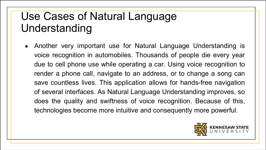• Another very important use for Natural Language Understanding is voice recognition in automobiles. Thousands of people die every year due to cell phone use while operating a car. Using voice recognition to render a phone call, navigate to an address, or to change a song can save countless lives. This application allows for hands-free navigation of several interfaces. As Natural Language Understanding improves, so does the quality and swiftness of voice recognition. Because of this, technologies become more intuitive and consequently more powerful.

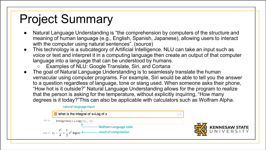### Project Summary

- Natural Language Understanding is "the comprehension by computers of the structure and meaning of human language (e.g., English, Spanish, Japanese), allowing users to interact with the computer using natural sentences". (source)
- This technology is a subcategory of Artificial Intelligence. NLU can take an input such as voice or text and interpret it in a computing language then create an output of that computer language into a language that can be understood by humans.
	- Examples of NLU: Google Translate, Siri, and Cortana
- The goal of Natural Language Understanding is to seamlessly translate the human vernacular using computer programs. For example, Siri would be able to tell you the answer to a question regardless of language, tone or slang used. When someone asks their phone, "How hot is it outside?" Natural Language Understanding allows for the program to realize that the person is asking for the temperature, without explicitly inquiring, "How many degrees is it today?"This can also be applicable with calculators such as Wolfram Alpha.



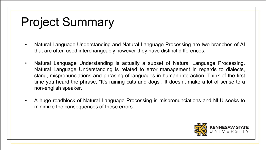### Project Summary

- Natural Language Understanding and Natural Language Processing are two branches of AI that are often used interchangeably however they have distinct differences.
- Natural Language Understanding is actually a subset of Natural Language Processing. Natural Language Understanding is related to error management in regards to dialects, slang, mispronunciations and phrasing of languages in human interaction. Think of the first time you heard the phrase, "It's raining cats and dogs". It doesn't make a lot of sense to a non-english speaker.
- A huge roadblock of Natural Language Processing is mispronunciations and NLU seeks to minimize the consequences of these errors.

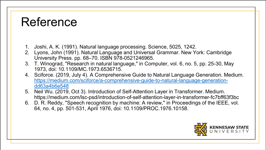### Reference

- 1. Joshi, A. K. (1991). Natural language processing. Science, 5025, 1242.
- 2. Lyons, John (1991). Natural Language and Universal Grammar. New York: Cambridge University Press. pp. 68–70. ISBN 978-0521246965.
- 3. T. Winograd, "Research in natural language," in Computer, vol. 6, no. 5, pp. 25-30, May 1973, doi: 10.1109/MC.1973.6536715.
- 4. Sciforce. (2019, July 4). A Comprehensive Guide to Natural Language Generation. Medium. [https://medium.com/sciforce/a-comprehensive-guide-to-natural-language-generation](https://medium.com/sciforce/a-comprehensive-guide-to-natural-language-generation-dd63a4b6e548)dd63a4b6e548
- 5. Neil Wu. (2019, Oct 3). Introduction of Self-Attention Layer in Transformer. Medium. https://medium.com/lsc-psd/introduction-of-self-attention-layer-in-transformer-fc7bff63f3bc
- 6. D. R. Reddy, "Speech recognition by machine: A review," in Proceedings of the IEEE, vol. 64, no. 4, pp. 501-531, April 1976, doi: 10.1109/PROC.1976.10158.